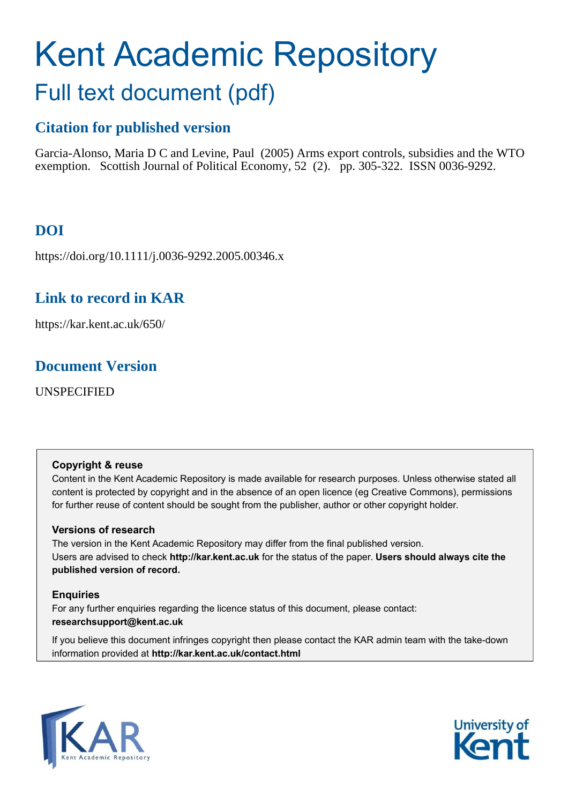# Kent Academic Repository Full text document (pdf)

## **Citation for published version**

Garcia-Alonso, Maria D C and Levine, Paul (2005) Arms export controls, subsidies and the WTO exemption. Scottish Journal of Political Economy, 52 (2). pp. 305-322. ISSN 0036-9292.

## **DOI**

https://doi.org/10.1111/j.0036-9292.2005.00346.x

## **Link to record in KAR**

https://kar.kent.ac.uk/650/

## **Document Version**

UNSPECIFIED

#### **Copyright & reuse**

Content in the Kent Academic Repository is made available for research purposes. Unless otherwise stated all content is protected by copyright and in the absence of an open licence (eg Creative Commons), permissions for further reuse of content should be sought from the publisher, author or other copyright holder.

#### **Versions of research**

The version in the Kent Academic Repository may differ from the final published version. Users are advised to check **http://kar.kent.ac.uk** for the status of the paper. **Users should always cite the published version of record.**

#### **Enquiries**

For any further enquiries regarding the licence status of this document, please contact: **researchsupport@kent.ac.uk**

If you believe this document infringes copyright then please contact the KAR admin team with the take-down information provided at **http://kar.kent.ac.uk/contact.html**



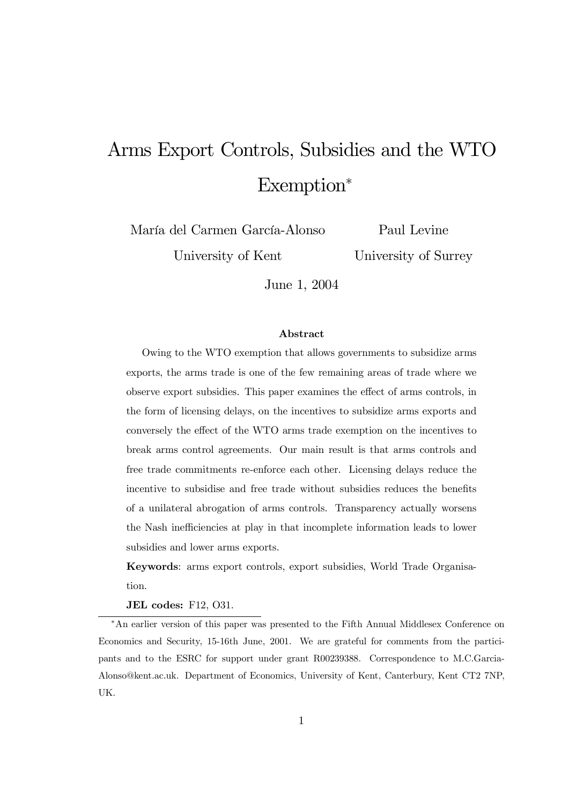## Arms Export Controls, Subsidies and the WTO  $Exemption*$

María del Carmen García-Alonso

University of Kent

Paul Levine

University of Surrey

June 1, 2004

#### Abstract

Owing to the WTO exemption that allows governments to subsidize arms exports, the arms trade is one of the few remaining areas of trade where we observe export subsidies. This paper examines the effect of arms controls, in the form of licensing delays, on the incentives to subsidize arms exports and conversely the effect of the WTO arms trade exemption on the incentives to break arms control agreements. Our main result is that arms controls and free trade commitments re-enforce each other. Licensing delays reduce the incentive to subsidise and free trade without subsidies reduces the benefits of a unilateral abrogation of arms controls. Transparency actually worsens the Nash inefficiencies at play in that incomplete information leads to lower subsidies and lower arms exports.

Keywords: arms export controls, export subsidies, World Trade Organisation.

JEL codes: F12, O31.

¤An earlier version of this paper was presented to the Fifth Annual Middlesex Conference on Economics and Security, 15-16th June, 2001. We are grateful for comments from the participants and to the ESRC for support under grant R00239388. Correspondence to M.C.Garcia-Alonso@kent.ac.uk. Department of Economics, University of Kent, Canterbury, Kent CT2 7NP, UK.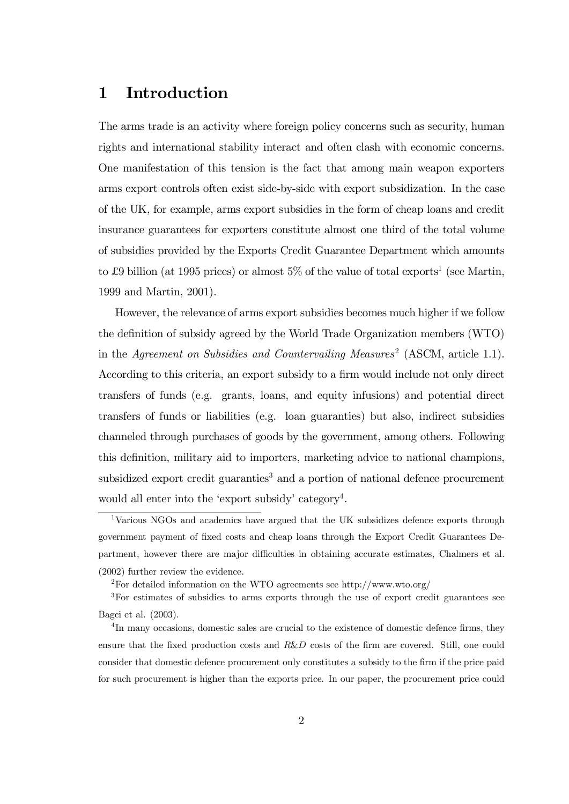## 1 Introduction

The arms trade is an activity where foreign policy concerns such as security, human rights and international stability interact and often clash with economic concerns. One manifestation of this tension is the fact that among main weapon exporters arms export controls often exist side-by-side with export subsidization. In the case of the UK, for example, arms export subsidies in the form of cheap loans and credit insurance guarantees for exporters constitute almost one third of the total volume of subsidies provided by the Exports Credit Guarantee Department which amounts to £9 billion (at 1995 prices) or almost  $5\%$  of the value of total exports<sup>1</sup> (see Martin, 1999 and Martin, 2001).

However, the relevance of arms export subsidies becomes much higher if we follow the definition of subsidy agreed by the World Trade Organization members (WTO) in the Agreement on Subsidies and Countervailing Measures<sup>2</sup> (ASCM, article 1.1). According to this criteria, an export subsidy to a firm would include not only direct transfers of funds (e.g. grants, loans, and equity infusions) and potential direct transfers of funds or liabilities (e.g. loan guaranties) but also, indirect subsidies channeled through purchases of goods by the government, among others. Following this definition, military aid to importers, marketing advice to national champions, subsidized export credit guaranties<sup>3</sup> and a portion of national defence procurement would all enter into the 'export subsidy' category<sup>4</sup>.

<sup>1</sup>Various NGOs and academics have argued that the UK subsidizes defence exports through government payment of fixed costs and cheap loans through the Export Credit Guarantees Department, however there are major difficulties in obtaining accurate estimates, Chalmers et al. (2002) further review the evidence.

<sup>2</sup>For detailed information on the WTO agreements see http://www.wto.org/

<sup>3</sup>For estimates of subsidies to arms exports through the use of export credit guarantees see Bagci et al. (2003).

<sup>&</sup>lt;sup>4</sup>In many occasions, domestic sales are crucial to the existence of domestic defence firms, they ensure that the fixed production costs and  $R\&D$  costs of the firm are covered. Still, one could consider that domestic defence procurement only constitutes a subsidy to the firm if the price paid for such procurement is higher than the exports price. In our paper, the procurement price could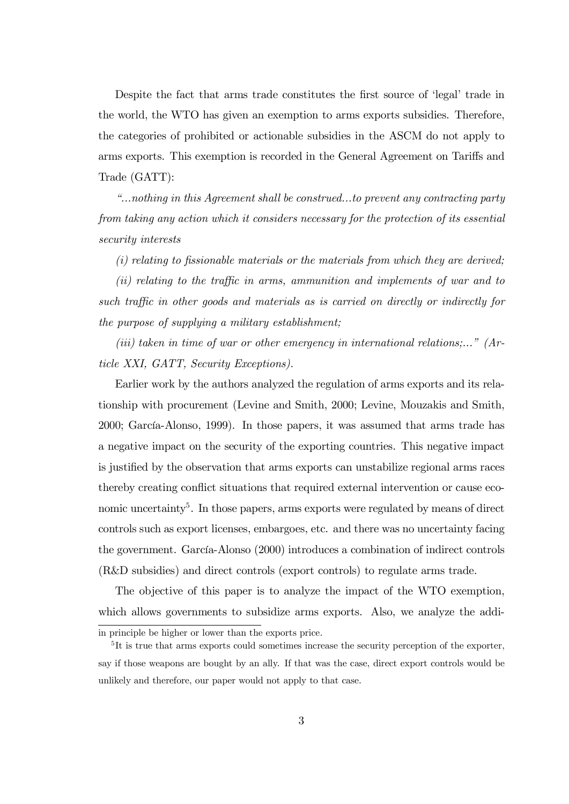Despite the fact that arms trade constitutes the first source of 'legal' trade in the world, the WTO has given an exemption to arms exports subsidies. Therefore, the categories of prohibited or actionable subsidies in the ASCM do not apply to arms exports. This exemption is recorded in the General Agreement on Tariffs and Trade (GATT):

"...nothing in this Agreement shall be construed...to prevent any contracting party from taking any action which it considers necessary for the protection of its essential security interests

 $(i)$  relating to fissionable materials or the materials from which they are derived;

 $(iii)$  relating to the traffic in arms, ammunition and implements of war and to such traffic in other goods and materials as is carried on directly or indirectly for the purpose of supplying a military establishment;

(iii) taken in time of war or other emergency in international relations;..." (Article XXI, GATT, Security Exceptions).

Earlier work by the authors analyzed the regulation of arms exports and its relationship with procurement (Levine and Smith, 2000; Levine, Mouzakis and Smith, 2000; García-Alonso, 1999). In those papers, it was assumed that arms trade has a negative impact on the security of the exporting countries. This negative impact is justified by the observation that arms exports can unstabilize regional arms races thereby creating conflict situations that required external intervention or cause economic uncertainty<sup>5</sup>. In those papers, arms exports were regulated by means of direct controls such as export licenses, embargoes, etc. and there was no uncertainty facing the government. García-Alonso (2000) introduces a combination of indirect controls (R&D subsidies) and direct controls (export controls) to regulate arms trade.

The objective of this paper is to analyze the impact of the WTO exemption, which allows governments to subsidize arms exports. Also, we analyze the addi-

in principle be higher or lower than the exports price.

<sup>&</sup>lt;sup>5</sup>It is true that arms exports could sometimes increase the security perception of the exporter, say if those weapons are bought by an ally. If that was the case, direct export controls would be unlikely and therefore, our paper would not apply to that case.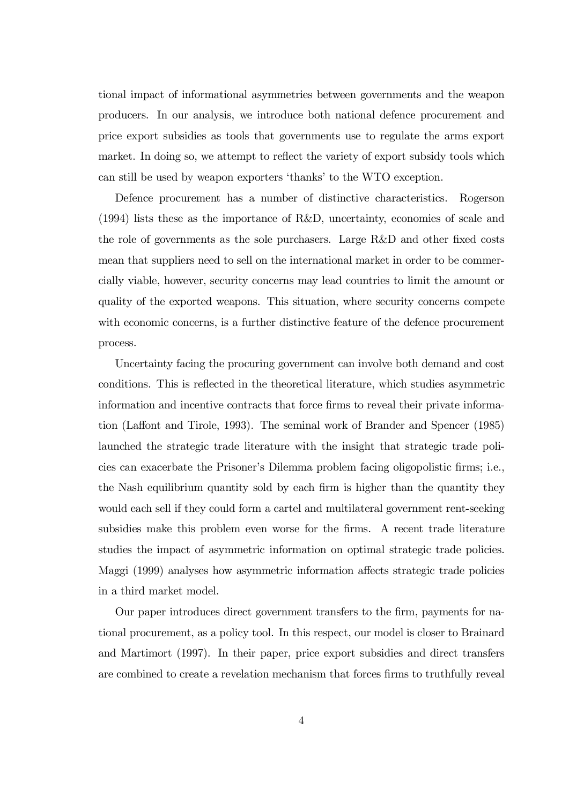tional impact of informational asymmetries between governments and the weapon producers. In our analysis, we introduce both national defence procurement and price export subsidies as tools that governments use to regulate the arms export market. In doing so, we attempt to reflect the variety of export subsidy tools which can still be used by weapon exporters 'thanks' to the WTO exception.

Defence procurement has a number of distinctive characteristics. Rogerson (1994) lists these as the importance of R&D, uncertainty, economies of scale and the role of governments as the sole purchasers. Large  $R&D$  and other fixed costs mean that suppliers need to sell on the international market in order to be commercially viable, however, security concerns may lead countries to limit the amount or quality of the exported weapons. This situation, where security concerns compete with economic concerns, is a further distinctive feature of the defence procurement process.

Uncertainty facing the procuring government can involve both demand and cost conditions. This is re‡ected in the theoretical literature, which studies asymmetric information and incentive contracts that force firms to reveal their private information (Laffont and Tirole, 1993). The seminal work of Brander and Spencer (1985) launched the strategic trade literature with the insight that strategic trade policies can exacerbate the Prisoner's Dilemma problem facing oligopolistic firms; i.e., the Nash equilibrium quantity sold by each firm is higher than the quantity they would each sell if they could form a cartel and multilateral government rent-seeking subsidies make this problem even worse for the firms. A recent trade literature studies the impact of asymmetric information on optimal strategic trade policies. Maggi (1999) analyses how asymmetric information affects strategic trade policies in a third market model.

Our paper introduces direct government transfers to the firm, payments for national procurement, as a policy tool. In this respect, our model is closer to Brainard and Martimort (1997). In their paper, price export subsidies and direct transfers are combined to create a revelation mechanism that forces firms to truthfully reveal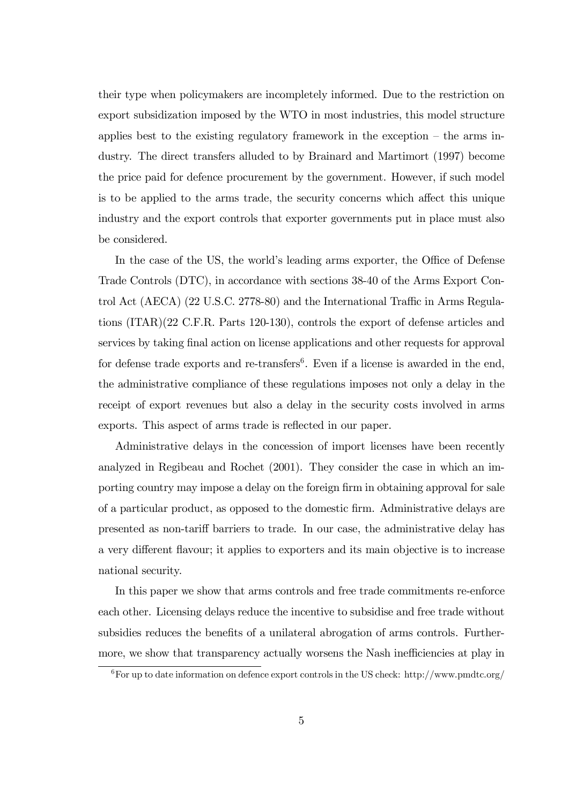their type when policymakers are incompletely informed. Due to the restriction on export subsidization imposed by the WTO in most industries, this model structure applies best to the existing regulatory framework in the exception – the arms industry. The direct transfers alluded to by Brainard and Martimort (1997) become the price paid for defence procurement by the government. However, if such model is to be applied to the arms trade, the security concerns which affect this unique industry and the export controls that exporter governments put in place must also be considered.

In the case of the US, the world's leading arms exporter, the Office of Defense Trade Controls (DTC), in accordance with sections 38-40 of the Arms Export Control Act (AECA)  $(22 \text{ U.S.C. } 2778-80)$  and the International Traffic in Arms Regulations (ITAR)(22 C.F.R. Parts 120-130), controls the export of defense articles and services by taking final action on license applications and other requests for approval for defense trade exports and re-transfers<sup>6</sup>. Even if a license is awarded in the end, the administrative compliance of these regulations imposes not only a delay in the receipt of export revenues but also a delay in the security costs involved in arms exports. This aspect of arms trade is reflected in our paper.

Administrative delays in the concession of import licenses have been recently analyzed in Regibeau and Rochet (2001). They consider the case in which an importing country may impose a delay on the foreign firm in obtaining approval for sale of a particular product, as opposed to the domestic firm. Administrative delays are presented as non-tariff barriers to trade. In our case, the administrative delay has a very different flavour; it applies to exporters and its main objective is to increase national security.

In this paper we show that arms controls and free trade commitments re-enforce each other. Licensing delays reduce the incentive to subsidise and free trade without subsidies reduces the benefits of a unilateral abrogation of arms controls. Furthermore, we show that transparency actually worsens the Nash inefficiencies at play in

<sup>&</sup>lt;sup>6</sup>For up to date information on defence export controls in the US check: http://www.pmdtc.org/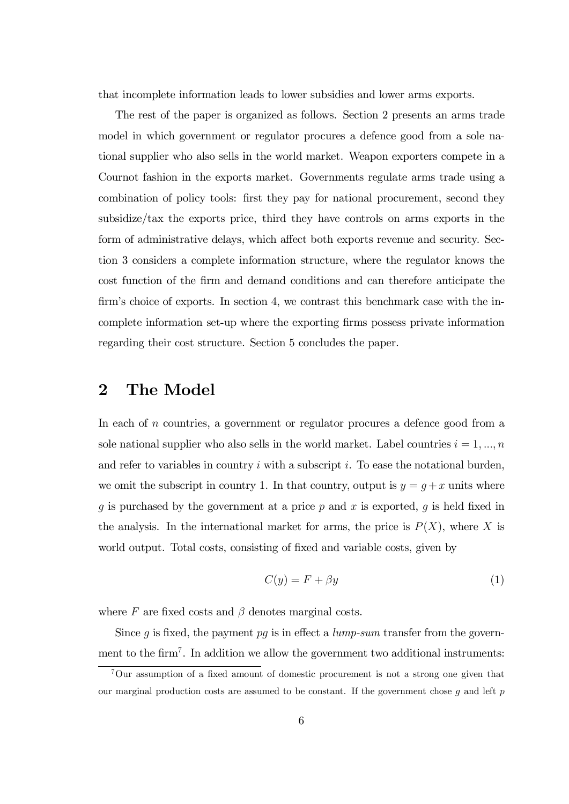that incomplete information leads to lower subsidies and lower arms exports.

The rest of the paper is organized as follows. Section 2 presents an arms trade model in which government or regulator procures a defence good from a sole national supplier who also sells in the world market. Weapon exporters compete in a Cournot fashion in the exports market. Governments regulate arms trade using a combination of policy tools: first they pay for national procurement, second they subsidize/tax the exports price, third they have controls on arms exports in the form of administrative delays, which affect both exports revenue and security. Section 3 considers a complete information structure, where the regulator knows the cost function of the firm and demand conditions and can therefore anticipate the firm's choice of exports. In section 4, we contrast this benchmark case with the incomplete information set-up where the exporting firms possess private information regarding their cost structure. Section 5 concludes the paper.

## 2 The Model

In each of  $n$  countries, a government or regulator procures a defence good from a sole national supplier who also sells in the world market. Label countries  $i = 1, ..., n$ and refer to variables in country  $i$  with a subscript  $i$ . To ease the notational burden, we omit the subscript in country 1. In that country, output is  $y = g + x$  units where g is purchased by the government at a price  $p$  and  $x$  is exported,  $q$  is held fixed in the analysis. In the international market for arms, the price is  $P(X)$ , where X is world output. Total costs, consisting of fixed and variable costs, given by

$$
C(y) = F + \beta y \tag{1}
$$

where  $F$  are fixed costs and  $\beta$  denotes marginal costs.

Since  $g$  is fixed, the payment  $pg$  is in effect a *lump-sum* transfer from the government to the firm<sup>7</sup>. In addition we allow the government two additional instruments:

 ${}^{7}$ Our assumption of a fixed amount of domestic procurement is not a strong one given that our marginal production costs are assumed to be constant. If the government chose  $g$  and left  $p$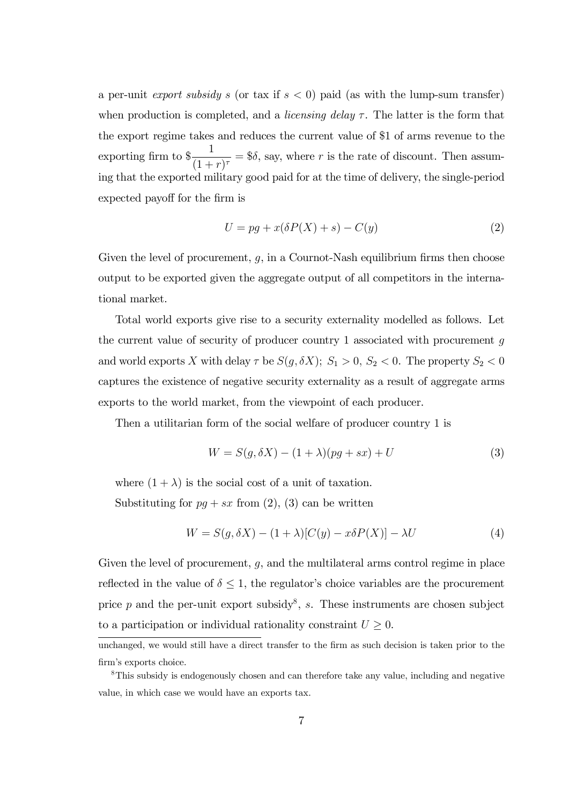a per-unit export subsidy s (or tax if  $s < 0$ ) paid (as with the lump-sum transfer) when production is completed, and a *licensing delay*  $\tau$ . The latter is the form that the export regime takes and reduces the current value of \$1 of arms revenue to the exporting firm to  $\frac{1}{(1+i)}$  $\frac{1}{(1+r)^{\tau}}$  = \$ $\delta$ , say, where r is the rate of discount. Then assuming that the exported military good paid for at the time of delivery, the single-period expected payoff for the firm is

$$
U = pg + x(\delta P(X) + s) - C(y)
$$
\n(2)

Given the level of procurement,  $g$ , in a Cournot-Nash equilibrium firms then choose output to be exported given the aggregate output of all competitors in the international market.

Total world exports give rise to a security externality modelled as follows. Let the current value of security of producer country 1 associated with procurement  $q$ and world exports X with delay  $\tau$  be  $S(g, \delta X)$ ;  $S_1 > 0$ ,  $S_2 < 0$ . The property  $S_2 < 0$ captures the existence of negative security externality as a result of aggregate arms exports to the world market, from the viewpoint of each producer.

Then a utilitarian form of the social welfare of producer country 1 is

$$
W = S(g, \delta X) - (1 + \lambda)(pg + sx) + U \tag{3}
$$

where  $(1 + \lambda)$  is the social cost of a unit of taxation.

Substituting for  $pq + sx$  from (2), (3) can be written

$$
W = S(g, \delta X) - (1 + \lambda)[C(y) - x\delta P(X)] - \lambda U \tag{4}
$$

Given the level of procurement,  $q$ , and the multilateral arms control regime in place reflected in the value of  $\delta \leq 1$ , the regulator's choice variables are the procurement price  $p$  and the per-unit export subsidy<sup>8</sup>, s. These instruments are chosen subject to a participation or individual rationality constraint  $U \geq 0$ .

unchanged, we would still have a direct transfer to the firm as such decision is taken prior to the firm's exports choice.

<sup>&</sup>lt;sup>8</sup>This subsidy is endogenously chosen and can therefore take any value, including and negative value, in which case we would have an exports tax.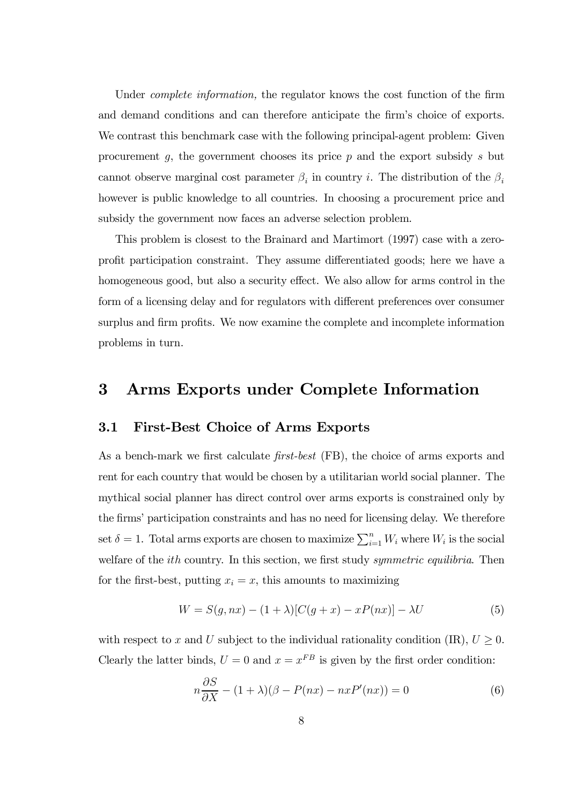Under *complete information*, the regulator knows the cost function of the firm and demand conditions and can therefore anticipate the firm's choice of exports. We contrast this benchmark case with the following principal-agent problem: Given procurement  $g$ , the government chooses its price  $p$  and the export subsidy  $s$  but cannot observe marginal cost parameter  $\beta_i$  in country *i*. The distribution of the  $\beta_i$ however is public knowledge to all countries. In choosing a procurement price and subsidy the government now faces an adverse selection problem.

This problem is closest to the Brainard and Martimort (1997) case with a zeroprofit participation constraint. They assume differentiated goods; here we have a homogeneous good, but also a security effect. We also allow for arms control in the form of a licensing delay and for regulators with different preferences over consumer surplus and firm profits. We now examine the complete and incomplete information problems in turn.

## 3 Arms Exports under Complete Information

#### 3.1 First-Best Choice of Arms Exports

As a bench-mark we first calculate  $first-best$  (FB), the choice of arms exports and rent for each country that would be chosen by a utilitarian world social planner. The mythical social planner has direct control over arms exports is constrained only by the firms' participation constraints and has no need for licensing delay. We therefore set  $\delta = 1$ . Total arms exports are chosen to maximize  $\sum_{i=1}^{n} W_i$  where  $W_i$  is the social welfare of the *ith* country. In this section, we first study *symmetric equilibria*. Then for the first-best, putting  $x_i = x$ , this amounts to maximizing

$$
W = S(g, nx) - (1 + \lambda)[C(g + x) - xP(nx)] - \lambda U \tag{5}
$$

with respect to x and U subject to the individual rationality condition (IR),  $U \geq 0$ . Clearly the latter binds,  $U = 0$  and  $x = x^{FB}$  is given by the first order condition:

$$
n\frac{\partial S}{\partial X} - (1+\lambda)(\beta - P(nx) - nxP'(nx)) = 0\tag{6}
$$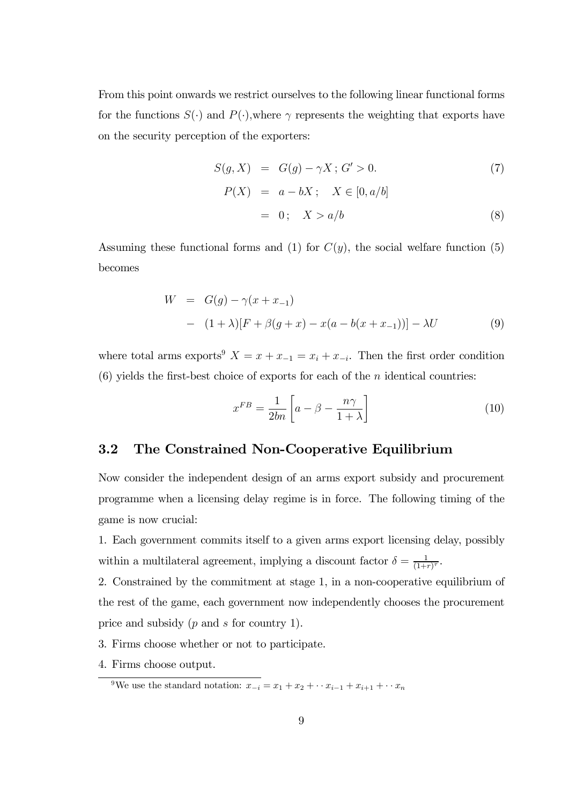From this point onwards we restrict ourselves to the following linear functional forms for the functions  $S(\cdot)$  and  $P(\cdot)$ , where  $\gamma$  represents the weighting that exports have on the security perception of the exporters:

$$
S(g, X) = G(g) - \gamma X; G' > 0.
$$
  
\n
$$
P(X) = a - bX; X \in [0, a/b]
$$
  
\n
$$
= 0; X > a/b
$$
 (8)

Assuming these functional forms and (1) for  $C(y)$ , the social welfare function (5) becomes

$$
W = G(g) - \gamma(x + x_{-1})
$$
  
- (1 + \lambda)[F + \beta(g + x) - x(a - b(x + x\_{-1}))] - \lambda U (9)

where total arms exports<sup>9</sup>  $X = x + x_{-1} = x_i + x_{-i}$ . Then the first order condition (6) yields the first-best choice of exports for each of the  $n$  identical countries:

$$
x^{FB} = \frac{1}{2bn} \left[ a - \beta - \frac{n\gamma}{1+\lambda} \right] \tag{10}
$$

#### 3.2 The Constrained Non-Cooperative Equilibrium

Now consider the independent design of an arms export subsidy and procurement programme when a licensing delay regime is in force. The following timing of the game is now crucial:

1. Each government commits itself to a given arms export licensing delay, possibly within a multilateral agreement, implying a discount factor  $\delta = \frac{1}{(1+1)^2}$  $\frac{1}{(1+r)^{\tau}}$ .

2. Constrained by the commitment at stage 1, in a non-cooperative equilibrium of the rest of the game, each government now independently chooses the procurement price and subsidy  $(p \text{ and } s \text{ for country } 1)$ .

- 3. Firms choose whether or not to participate.
- 4. Firms choose output.

<sup>&</sup>lt;sup>9</sup>We use the standard notation:  $x_{-i} = x_1 + x_2 + \cdots + x_{i-1} + x_{i+1} + \cdots + x_n$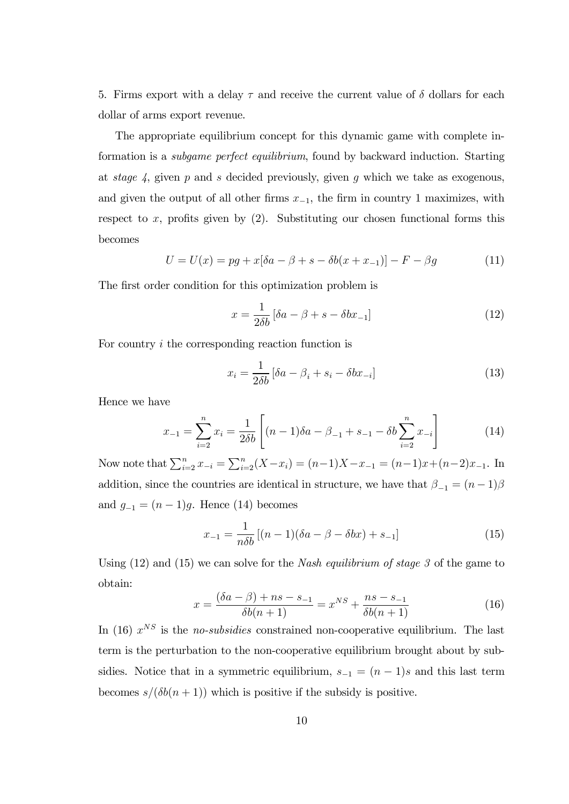5. Firms export with a delay  $\tau$  and receive the current value of  $\delta$  dollars for each dollar of arms export revenue.

The appropriate equilibrium concept for this dynamic game with complete information is a subgame perfect equilibrium, found by backward induction. Starting at stage  $\lambda$ , given  $p$  and  $s$  decided previously, given  $g$  which we take as exogenous, and given the output of all other firms  $x_{-1}$ , the firm in country 1 maximizes, with respect to  $x$ , profits given by (2). Substituting our chosen functional forms this becomes

$$
U = U(x) = pg + x[\delta a - \beta + s - \delta b(x + x_{-1})] - F - \beta g \tag{11}
$$

The first order condition for this optimization problem is

$$
x = \frac{1}{2\delta b} \left[ \delta a - \beta + s - \delta b x_{-1} \right] \tag{12}
$$

For country  $i$  the corresponding reaction function is

$$
x_i = \frac{1}{2\delta b} \left[ \delta a - \beta_i + s_i - \delta b x_{-i} \right] \tag{13}
$$

Hence we have

$$
x_{-1} = \sum_{i=2}^{n} x_i = \frac{1}{2\delta b} \left[ (n-1)\delta a - \beta_{-1} + s_{-1} - \delta b \sum_{i=2}^{n} x_{-i} \right]
$$
(14)

Now note that  $\sum_{i=2}^{n} x_{-i} = \sum_{i=2}^{n} (X - x_i) = (n-1)X - x_{-1} = (n-1)x + (n-2)x_{-1}$ . In addition, since the countries are identical in structure, we have that  $\beta_{-1} = (n-1)\beta$ and  $g_{-1} = (n-1)g$ . Hence (14) becomes

$$
x_{-1} = \frac{1}{n\delta b} [(n-1)(\delta a - \beta - \delta bx) + s_{-1}]
$$
 (15)

Using  $(12)$  and  $(15)$  we can solve for the *Nash equilibrium of stage 3* of the game to obtain:

$$
x = \frac{(\delta a - \beta) + ns - s_{-1}}{\delta b(n+1)} = x^{NS} + \frac{ns - s_{-1}}{\delta b(n+1)}
$$
(16)

In (16)  $x^{NS}$  is the *no-subsidies* constrained non-cooperative equilibrium. The last term is the perturbation to the non-cooperative equilibrium brought about by subsidies. Notice that in a symmetric equilibrium,  $s_{-1} = (n-1)s$  and this last term becomes  $s/(\delta b(n + 1))$  which is positive if the subsidy is positive.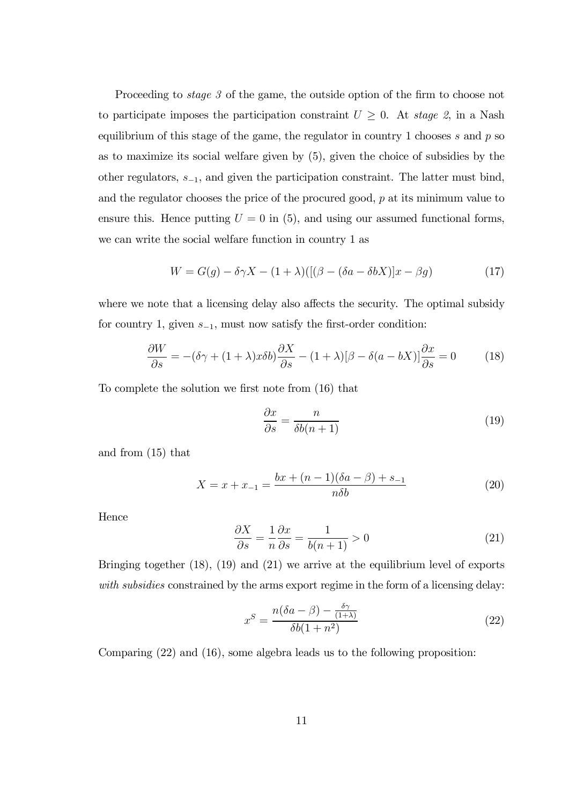Proceeding to *stage 3* of the game, the outside option of the firm to choose not to participate imposes the participation constraint  $U \geq 0$ . At stage 2, in a Nash equilibrium of this stage of the game, the regulator in country 1 chooses  $s$  and  $p$  so as to maximize its social welfare given by (5), given the choice of subsidies by the other regulators,  $s_{-1}$ , and given the participation constraint. The latter must bind, and the regulator chooses the price of the procured good,  $p$  at its minimum value to ensure this. Hence putting  $U = 0$  in (5), and using our assumed functional forms, we can write the social welfare function in country 1 as

$$
W = G(g) - \delta \gamma X - (1 + \lambda) \left( \left[ (\beta - (\delta a - \delta b X)) x - \beta g \right) \right) \tag{17}
$$

where we note that a licensing delay also affects the security. The optimal subsidy for country 1, given  $s_{-1}$ , must now satisfy the first-order condition:

$$
\frac{\partial W}{\partial s} = -(\delta \gamma + (1 + \lambda)x \delta b) \frac{\partial X}{\partial s} - (1 + \lambda)[\beta - \delta(a - bX)] \frac{\partial x}{\partial s} = 0 \tag{18}
$$

To complete the solution we first note from  $(16)$  that

$$
\frac{\partial x}{\partial s} = \frac{n}{\delta b(n+1)}\tag{19}
$$

and from (15) that

$$
X = x + x_{-1} = \frac{bx + (n-1)(\delta a - \beta) + s_{-1}}{n\delta b}
$$
 (20)

Hence

$$
\frac{\partial X}{\partial s} = \frac{1}{n} \frac{\partial x}{\partial s} = \frac{1}{b(n+1)} > 0 \tag{21}
$$

Bringing together (18), (19) and (21) we arrive at the equilibrium level of exports with subsidies constrained by the arms export regime in the form of a licensing delay:

$$
x^{S} = \frac{n(\delta a - \beta) - \frac{\delta \gamma}{(1+\lambda)}}{\delta b(1+n^{2})}
$$
\n(22)

Comparing (22) and (16), some algebra leads us to the following proposition: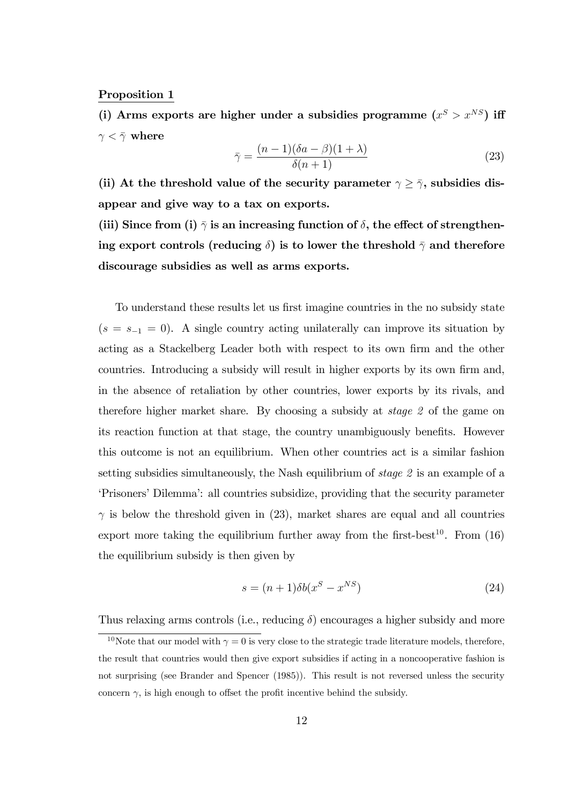#### Proposition 1

(i) Arms exports are higher under a subsidies programme  $(x^S > x^{NS})$  iff  $\gamma < \bar{\gamma}$  where

$$
\bar{\gamma} = \frac{(n-1)(\delta a - \beta)(1+\lambda)}{\delta(n+1)}
$$
\n(23)

(ii) At the threshold value of the security parameter  $\gamma \geq \bar{\gamma}$ , subsidies disappear and give way to a tax on exports.

(iii) Since from (i)  $\bar{\gamma}$  is an increasing function of  $\delta$ , the effect of strengthening export controls (reducing  $\delta$ ) is to lower the threshold  $\bar{\gamma}$  and therefore discourage subsidies as well as arms exports.

To understand these results let us first imagine countries in the no subsidy state  $(s = s_{-1} = 0)$ . A single country acting unilaterally can improve its situation by acting as a Stackelberg Leader both with respect to its own firm and the other countries. Introducing a subsidy will result in higher exports by its own firm and, in the absence of retaliation by other countries, lower exports by its rivals, and therefore higher market share. By choosing a subsidy at stage 2 of the game on its reaction function at that stage, the country unambiguously benefits. However this outcome is not an equilibrium. When other countries act is a similar fashion setting subsidies simultaneously, the Nash equilibrium of stage 2 is an example of a 'Prisoners' Dilemma': all countries subsidize, providing that the security parameter  $\gamma$  is below the threshold given in (23), market shares are equal and all countries export more taking the equilibrium further away from the first-best<sup>10</sup>. From  $(16)$ the equilibrium subsidy is then given by

$$
s = (n+1)\delta b(x^S - x^{NS})
$$
\n(24)

Thus relaxing arms controls (i.e., reducing  $\delta$ ) encourages a higher subsidy and more

<sup>&</sup>lt;sup>10</sup>Note that our model with  $\gamma = 0$  is very close to the strategic trade literature models, therefore, the result that countries would then give export subsidies if acting in a noncooperative fashion is not surprising (see Brander and Spencer (1985)). This result is not reversed unless the security concern  $\gamma$ , is high enough to offset the profit incentive behind the subsidy.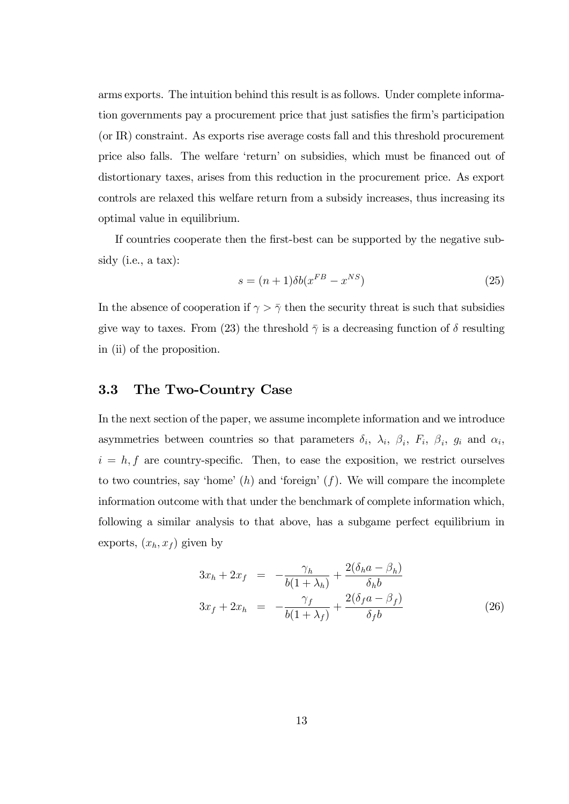arms exports. The intuition behind this result is as follows. Under complete information governments pay a procurement price that just satisfies the firm's participation (or IR) constraint. As exports rise average costs fall and this threshold procurement price also falls. The welfare 'return' on subsidies, which must be financed out of distortionary taxes, arises from this reduction in the procurement price. As export controls are relaxed this welfare return from a subsidy increases, thus increasing its optimal value in equilibrium.

If countries cooperate then the first-best can be supported by the negative subsidy (i.e., a tax):

$$
s = (n+1)\delta b(x^{FB} - x^{NS})
$$
\n(25)

In the absence of cooperation if  $\gamma > \bar{\gamma}$  then the security threat is such that subsidies give way to taxes. From (23) the threshold  $\bar{\gamma}$  is a decreasing function of  $\delta$  resulting in (ii) of the proposition.

#### 3.3 The Two-Country Case

In the next section of the paper, we assume incomplete information and we introduce asymmetries between countries so that parameters  $\delta_i$ ,  $\lambda_i$ ,  $\beta_i$ ,  $F_i$ ,  $\beta_i$ ,  $g_i$  and  $\alpha_i$ ,  $i = h, f$  are country-specific. Then, to ease the exposition, we restrict ourselves to two countries, say 'home'  $(h)$  and 'foreign'  $(f)$ . We will compare the incomplete information outcome with that under the benchmark of complete information which, following a similar analysis to that above, has a subgame perfect equilibrium in exports,  $(x_h, x_f)$  given by

$$
3x_h + 2x_f = -\frac{\gamma_h}{b(1+\lambda_h)} + \frac{2(\delta_h a - \beta_h)}{\delta_h b}
$$
  

$$
3x_f + 2x_h = -\frac{\gamma_f}{b(1+\lambda_f)} + \frac{2(\delta_f a - \beta_f)}{\delta_f b}
$$
 (26)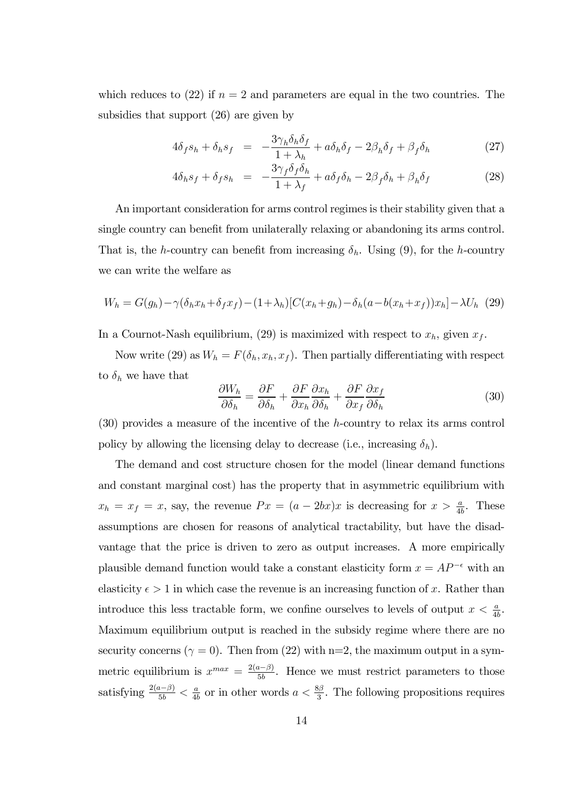which reduces to (22) if  $n = 2$  and parameters are equal in the two countries. The subsidies that support (26) are given by

$$
4\delta_f s_h + \delta_h s_f = -\frac{3\gamma_h \delta_h \delta_f}{1 + \lambda_h} + a\delta_h \delta_f - 2\beta_h \delta_f + \beta_f \delta_h \tag{27}
$$

$$
4\delta_h s_f + \delta_f s_h = -\frac{3\gamma_f \delta_f \delta_h}{1 + \lambda_f} + a\delta_f \delta_h - 2\beta_f \delta_h + \beta_h \delta_f \tag{28}
$$

An important consideration for arms control regimes is their stability given that a single country can benefit from unilaterally relaxing or abandoning its arms control. That is, the h-country can benefit from increasing  $\delta_h$ . Using (9), for the h-country we can write the welfare as

$$
W_h = G(g_h) - \gamma(\delta_h x_h + \delta_f x_f) - (1 + \lambda_h)[C(x_h + g_h) - \delta_h(a - b(x_h + x_f))x_h] - \lambda U_h
$$
 (29)

In a Cournot-Nash equilibrium, (29) is maximized with respect to  $x_h$ , given  $x_f$ .

Now write (29) as  $W_h = F(\delta_h, x_h, x_f)$ . Then partially differentiating with respect to  $\delta_h$  we have that

$$
\frac{\partial W_h}{\partial \delta_h} = \frac{\partial F}{\partial \delta_h} + \frac{\partial F}{\partial x_h} \frac{\partial x_h}{\partial \delta_h} + \frac{\partial F}{\partial x_f} \frac{\partial x_f}{\partial \delta_h}
$$
(30)

 $(30)$  provides a measure of the incentive of the *h*-country to relax its arms control policy by allowing the licensing delay to decrease (i.e., increasing  $\delta_h$ ).

The demand and cost structure chosen for the model (linear demand functions and constant marginal cost) has the property that in asymmetric equilibrium with  $x_h = x_f = x$ , say, the revenue  $Px = (a - 2bx)x$  is decreasing for  $x > \frac{a}{4b}$ . These assumptions are chosen for reasons of analytical tractability, but have the disadvantage that the price is driven to zero as output increases. A more empirically plausible demand function would take a constant elasticity form  $x = AP^{-\epsilon}$  with an elasticity  $\epsilon > 1$  in which case the revenue is an increasing function of x. Rather than introduce this less tractable form, we confine ourselves to levels of output  $x < \frac{a}{4b}$ . Maximum equilibrium output is reached in the subsidy regime where there are no security concerns ( $\gamma = 0$ ). Then from (22) with n=2, the maximum output in a symmetric equilibrium is  $x^{max} = \frac{2(a-\beta)}{5b}$ . Hence we must restrict parameters to those satisfying  $\frac{2(a-\beta)}{5b} < \frac{a}{4b}$  $\frac{a}{4b}$  or in other words  $a < \frac{8\beta}{3}$ . The following propositions requires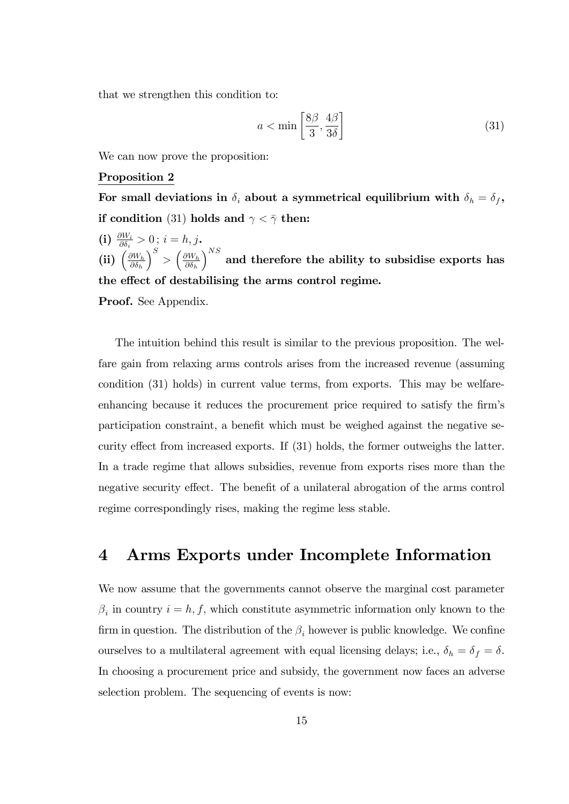that we strengthen this condition to:

$$
a < \min\left[\frac{8\beta}{3}, \frac{4\beta}{3\delta}\right] \tag{31}
$$

We can now prove the proposition:

#### Proposition 2

For small deviations in  $\delta_i$  about a symmetrical equilibrium with  $\delta_h = \delta_f$ , if condition (31) holds and  $\gamma < \bar{\gamma}$  then:

(i)  $\frac{\partial W_i}{\partial \delta_i} > 0$ ;  $i = h, j$ . (ii)  $\left(\frac{\partial W_h}{\partial \delta_i}\right)$  $\partial \delta_h$  $\left(\frac{\partial W_h}{\partial \delta_i}\right)^S > \left(\frac{\partial W_h}{\partial \delta_i}\right)^S$  $\partial \delta_h$  $\big)^{NS}$  and therefore the ability to subsidise exports has the effect of destabilising the arms control regime.

Proof. See Appendix.

The intuition behind this result is similar to the previous proposition. The welfare gain from relaxing arms controls arises from the increased revenue (assuming condition (31) holds) in current value terms, from exports. This may be welfareenhancing because it reduces the procurement price required to satisfy the firm's participation constraint, a benefit which must be weighed against the negative security effect from increased exports. If  $(31)$  holds, the former outweighs the latter. In a trade regime that allows subsidies, revenue from exports rises more than the negative security effect. The benefit of a unilateral abrogation of the arms control regime correspondingly rises, making the regime less stable.

## 4 Arms Exports under Incomplete Information

We now assume that the governments cannot observe the marginal cost parameter  $\beta_i$  in country  $i = h, f$ , which constitute asymmetric information only known to the firm in question. The distribution of the  $\beta_i$  however is public knowledge. We confine ourselves to a multilateral agreement with equal licensing delays; i.e.,  $\delta_h = \delta_f = \delta$ . In choosing a procurement price and subsidy, the government now faces an adverse selection problem. The sequencing of events is now: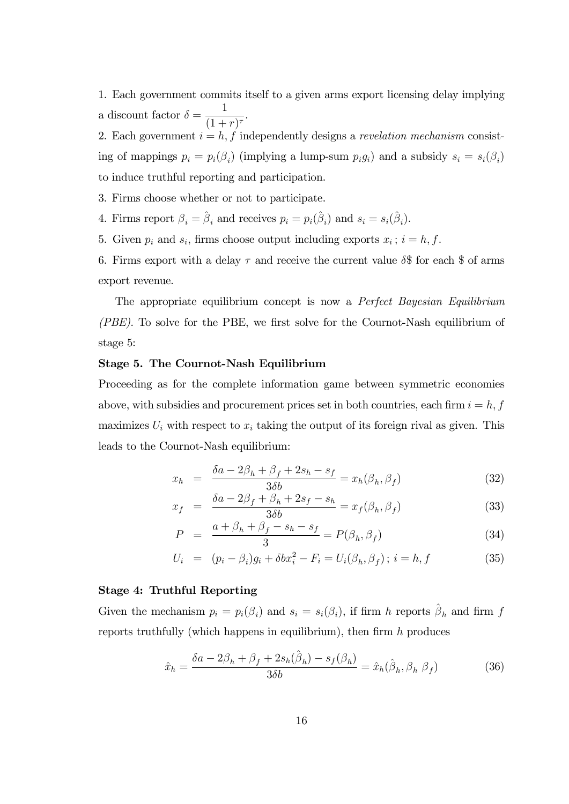1. Each government commits itself to a given arms export licensing delay implying a discount factor  $\delta = \frac{1}{(1 + \epsilon)^{1/2}}$  $\frac{1}{(1+r)^{\tau}}$ 

2. Each government  $i = h, f$  independently designs a *revelation mechanism* consisting of mappings  $p_i = p_i(\beta_i)$  (implying a lump-sum  $p_i g_i$ ) and a subsidy  $s_i = s_i(\beta_i)$ to induce truthful reporting and participation.

3. Firms choose whether or not to participate.

4. Firms report  $\beta_i = \hat{\beta}_i$  and receives  $p_i = p_i(\hat{\beta}_i)$  and  $s_i = s_i(\hat{\beta}_i)$ .

5. Given  $p_i$  and  $s_i$ , firms choose output including exports  $x_i$ ;  $i = h, f$ .

6. Firms export with a delay  $\tau$  and receive the current value  $\delta$ \$ for each \$ of arms export revenue.

The appropriate equilibrium concept is now a *Perfect Bayesian Equilibrium*  $(PBE)$ . To solve for the PBE, we first solve for the Cournot-Nash equilibrium of stage 5:

#### Stage 5. The Cournot-Nash Equilibrium

Proceeding as for the complete information game between symmetric economies above, with subsidies and procurement prices set in both countries, each firm  $i = h, f$ maximizes  $U_i$  with respect to  $x_i$  taking the output of its foreign rival as given. This leads to the Cournot-Nash equilibrium:

$$
x_h = \frac{\delta a - 2\beta_h + \beta_f + 2s_h - s_f}{3\delta b} = x_h(\beta_h, \beta_f)
$$
 (32)

$$
x_f = \frac{\delta a - 2\beta_f + \beta_h + 2s_f - s_h}{3\delta b} = x_f(\beta_h, \beta_f)
$$
\n(33)

$$
P = \frac{a + \beta_h + \beta_f - s_h - s_f}{3} = P(\beta_h, \beta_f) \tag{34}
$$

$$
U_i = (p_i - \beta_i)g_i + \delta bx_i^2 - F_i = U_i(\beta_h, \beta_f); i = h, f
$$
 (35)

#### Stage 4: Truthful Reporting

Given the mechanism  $p_i = p_i(\beta_i)$  and  $s_i = s_i(\beta_i)$ , if firm h reports  $\hat{\beta}_h$  and firm f reports truthfully (which happens in equilibrium), then firm  $h$  produces

$$
\hat{x}_h = \frac{\delta a - 2\beta_h + \beta_f + 2s_h(\hat{\beta}_h) - s_f(\beta_h)}{3\delta b} = \hat{x}_h(\hat{\beta}_h, \beta_h \beta_f)
$$
(36)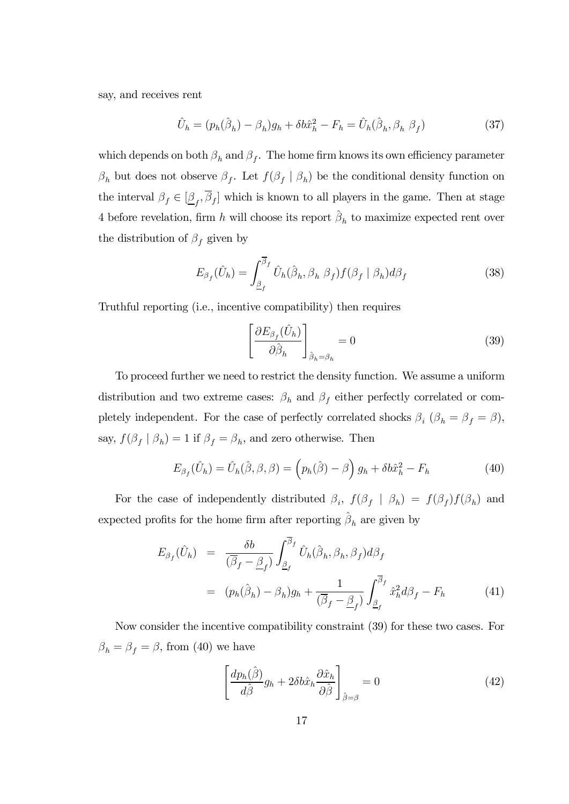say, and receives rent

$$
\hat{U}_h = (p_h(\hat{\beta}_h) - \beta_h)g_h + \delta b \hat{x}_h^2 - F_h = \hat{U}_h(\hat{\beta}_h, \beta_h \beta_f)
$$
\n(37)

which depends on both  $\beta_h$  and  $\beta_f$ . The home firm knows its own efficiency parameter  $\beta_h$  but does not observe  $\beta_f$ . Let  $f(\beta_f | \beta_h)$  be the conditional density function on the interval  $\beta_f \in [\underline{\beta}_f, \beta_f]$  which is known to all players in the game. Then at stage 4 before revelation, firm  $h$  will choose its report  $\hat{\beta}_h$  to maximize expected rent over the distribution of  $\beta_f$  given by

$$
E_{\beta_f}(\hat{U}_h) = \int_{\underline{\beta}_f}^{\overline{\beta}_f} \hat{U}_h(\hat{\beta}_h, \beta_h \beta_f) f(\beta_f | \beta_h) d\beta_f
$$
 (38)

Truthful reporting (i.e., incentive compatibility) then requires

$$
\left[\frac{\partial E_{\beta_f}(\hat{U}_h)}{\partial \hat{\beta}_h}\right]_{\hat{\beta}_h=\beta_h} = 0
$$
\n(39)

To proceed further we need to restrict the density function. We assume a uniform distribution and two extreme cases:  $\beta_h$  and  $\beta_f$  either perfectly correlated or completely independent. For the case of perfectly correlated shocks  $\beta_i$  ( $\beta_h = \beta_f = \beta$ ), say,  $f(\beta_f | \beta_h) = 1$  if  $\beta_f = \beta_h$ , and zero otherwise. Then

$$
E_{\beta_f}(\hat{U}_h) = \hat{U}_h(\hat{\beta}, \beta, \beta) = (p_h(\hat{\beta}) - \beta) g_h + \delta b \hat{x}_h^2 - F_h
$$
\n(40)

For the case of independently distributed  $\beta_i$ ,  $f(\beta_f | \beta_h) = f(\beta_f) f(\beta_h)$  and expected profits for the home firm after reporting  $\hat{\beta}_h$  are given by

$$
E_{\beta_f}(\hat{U}_h) = \frac{\delta b}{(\overline{\beta}_f - \underline{\beta}_f)} \int_{\underline{\beta}_f}^{\overline{\beta}_f} \hat{U}_h(\hat{\beta}_h, \beta_h, \beta_f) d\beta_f
$$
  

$$
= (p_h(\hat{\beta}_h) - \beta_h) g_h + \frac{1}{(\overline{\beta}_f - \underline{\beta}_f)} \int_{\underline{\beta}_f}^{\overline{\beta}_f} \hat{x}_h^2 d\beta_f - F_h \qquad (41)
$$

Now consider the incentive compatibility constraint (39) for these two cases. For  $\beta_h = \beta_f = \beta$ , from (40) we have

$$
\left[\frac{dp_h(\hat{\beta})}{d\hat{\beta}}g_h + 2\delta b\hat{x}_h \frac{\partial \hat{x}_h}{\partial \hat{\beta}}\right]_{\hat{\beta}=\beta} = 0
$$
\n(42)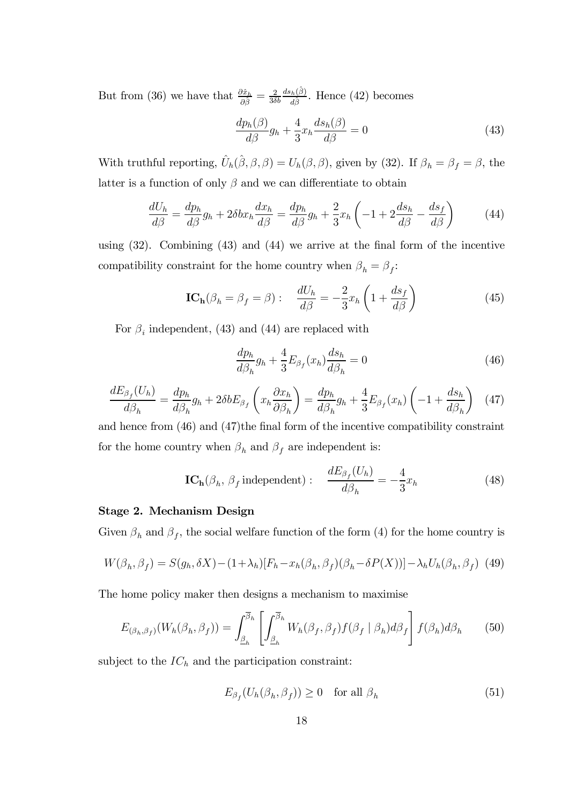But from (36) we have that  $\frac{\partial \hat{x}_h}{\partial \hat{\beta}} = \frac{2}{3\delta b}$  $ds_h(\hat{\beta})$  $\frac{d^2h(\beta)}{d\hat{\beta}}$ . Hence (42) becomes

$$
\frac{dp_h(\beta)}{d\beta}g_h + \frac{4}{3}x_h \frac{ds_h(\beta)}{d\beta} = 0
$$
\n(43)

With truthful reporting,  $\hat{U}_h(\hat{\beta}, \beta, \beta) = U_h(\beta, \beta)$ , given by (32). If  $\beta_h = \beta_f = \beta$ , the latter is a function of only  $\beta$  and we can differentiate to obtain

$$
\frac{dU_h}{d\beta} = \frac{dp_h}{d\beta}g_h + 2\delta bx_h \frac{dx_h}{d\beta} = \frac{dp_h}{d\beta}g_h + \frac{2}{3}x_h \left(-1 + 2\frac{ds_h}{d\beta} - \frac{ds_f}{d\beta}\right) \tag{44}
$$

using  $(32)$ . Combining  $(43)$  and  $(44)$  we arrive at the final form of the incentive compatibility constraint for the home country when  $\beta_h = \beta_f$ :

$$
IC_{h}(\beta_{h} = \beta_{f} = \beta) : \quad \frac{dU_{h}}{d\beta} = -\frac{2}{3}x_{h}\left(1 + \frac{ds_{f}}{d\beta}\right)
$$
(45)

For  $\beta_i$  independent, (43) and (44) are replaced with

$$
\frac{dp_h}{d\beta_h}g_h + \frac{4}{3}E_{\beta_f}(x_h)\frac{ds_h}{d\beta_h} = 0\tag{46}
$$

$$
\frac{dE_{\beta_f}(U_h)}{d\beta_h} = \frac{dp_h}{d\beta_h}g_h + 2\delta bE_{\beta_f}\left(x_h\frac{\partial x_h}{\partial \beta_h}\right) = \frac{dp_h}{d\beta_h}g_h + \frac{4}{3}E_{\beta_f}(x_h)\left(-1 + \frac{ds_h}{d\beta_h}\right) \tag{47}
$$

and hence from  $(46)$  and  $(47)$ the final form of the incentive compatibility constraint for the home country when  $\beta_h$  and  $\beta_f$  are independent is:

$$
IC_{h}(\beta_{h}, \beta_{f} \text{ independent}) : \quad \frac{dE_{\beta_{f}}(U_{h})}{d\beta_{h}} = -\frac{4}{3}x_{h}
$$
(48)

#### Stage 2. Mechanism Design

Given  $\beta_h$  and  $\beta_f$ , the social welfare function of the form (4) for the home country is

$$
W(\beta_h, \beta_f) = S(g_h, \delta X) - (1 + \lambda_h)[F_h - x_h(\beta_h, \beta_f)(\beta_h - \delta P(X))] - \lambda_h U_h(\beta_h, \beta_f)
$$
(49)

The home policy maker then designs a mechanism to maximise

$$
E_{(\beta_h, \beta_f)}(W_h(\beta_h, \beta_f)) = \int_{\underline{\beta}_h}^{\overline{\beta}_h} \left[ \int_{\underline{\beta}_h}^{\overline{\beta}_h} W_h(\beta_f, \beta_f) f(\beta_f | \beta_h) d\beta_f \right] f(\beta_h) d\beta_h \tag{50}
$$

subject to the  $IC<sub>h</sub>$  and the participation constraint:

$$
E_{\beta_f}(U_h(\beta_h, \beta_f)) \ge 0 \quad \text{for all } \beta_h \tag{51}
$$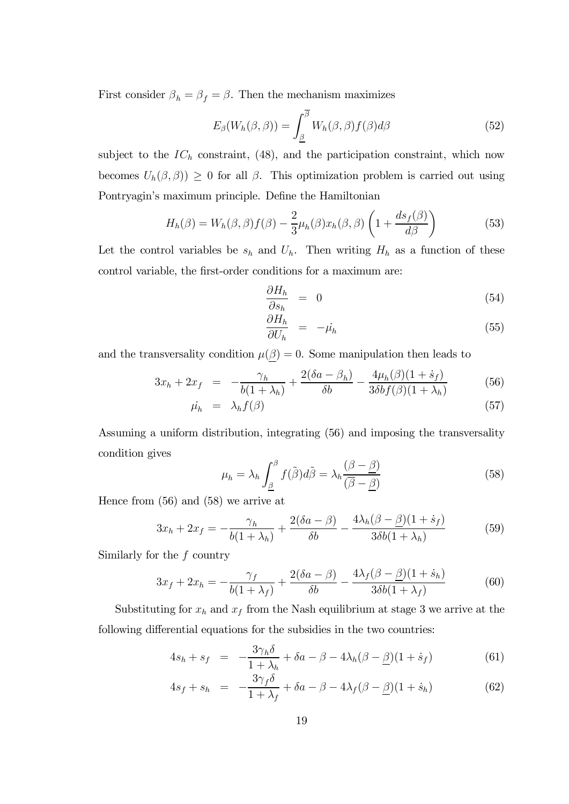First consider  $\boldsymbol{\beta}_h = \boldsymbol{\beta}_f = \boldsymbol{\beta}.$  Then the mechanism maximizes

$$
E_{\beta}(W_h(\beta,\beta)) = \int_{\underline{\beta}}^{\overline{\beta}} W_h(\beta,\beta) f(\beta) d\beta \tag{52}
$$

subject to the  $IC<sub>h</sub>$  constraint, (48), and the participation constraint, which now becomes  $U_h(\beta,\beta)$   $\geq 0$  for all  $\beta$ . This optimization problem is carried out using Pontryagin's maximum principle. Define the Hamiltonian

$$
H_h(\beta) = W_h(\beta, \beta) f(\beta) - \frac{2}{3} \mu_h(\beta) x_h(\beta, \beta) \left( 1 + \frac{ds_f(\beta)}{d\beta} \right)
$$
(53)

Let the control variables be  $s_h$  and  $U_h$ . Then writing  $H_h$  as a function of these control variable, the first-order conditions for a maximum are:

$$
\frac{\partial H_h}{\partial s_h} = 0 \tag{54}
$$

$$
\frac{\partial H_h}{\partial U_h} = -\mu_h \tag{55}
$$

and the transversality condition  $\mu(\beta) = 0$ . Some manipulation then leads to

$$
3x_h + 2x_f = -\frac{\gamma_h}{b(1+\lambda_h)} + \frac{2(\delta a - \beta_h)}{\delta b} - \frac{4\mu_h(\beta)(1+\dot{s}_f)}{3\delta b f(\beta)(1+\lambda_h)}
$$
(56)

$$
\dot{\mu_h} = \lambda_h f(\beta) \tag{57}
$$

Assuming a uniform distribution, integrating (56) and imposing the transversality condition gives

$$
\mu_h = \lambda_h \int_{\underline{\beta}}^{\beta} f(\tilde{\beta}) d\tilde{\beta} = \lambda_h \frac{(\beta - \underline{\beta})}{(\overline{\beta} - \underline{\beta})}
$$
(58)

Hence from (56) and (58) we arrive at

$$
3x_h + 2x_f = -\frac{\gamma_h}{b(1+\lambda_h)} + \frac{2(\delta a - \beta)}{\delta b} - \frac{4\lambda_h(\beta - \beta)(1+s_f)}{3\delta b(1+\lambda_h)}
$$
(59)

Similarly for the  $f$  country

$$
3x_f + 2x_h = -\frac{\gamma_f}{b(1+\lambda_f)} + \frac{2(\delta a - \beta)}{\delta b} - \frac{4\lambda_f(\beta - \beta)(1+s_h)}{3\delta b(1+\lambda_f)}
$$
(60)

Substituting for  $x_h$  and  $x_f$  from the Nash equilibrium at stage 3 we arrive at the following differential equations for the subsidies in the two countries:

$$
4s_h + s_f = -\frac{3\gamma_h \delta}{1 + \lambda_h} + \delta a - \beta - 4\lambda_h (\beta - \underline{\beta})(1 + \dot{s}_f)
$$
(61)

$$
4s_f + s_h = -\frac{3\gamma_f \delta}{1 + \lambda_f} + \delta a - \beta - 4\lambda_f (\beta - \underline{\beta})(1 + \dot{s}_h)
$$
(62)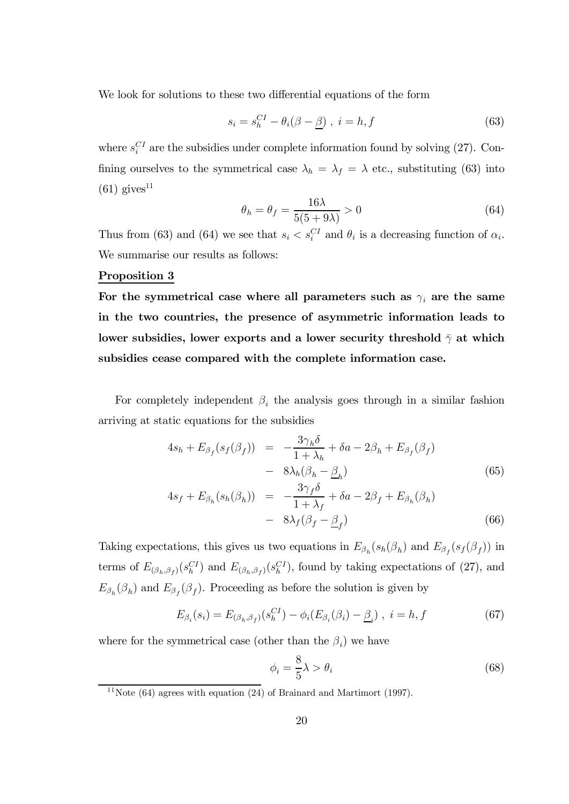We look for solutions to these two differential equations of the form

$$
s_i = s_h^{CI} - \theta_i(\beta - \underline{\beta}) \ , \ i = h, f \tag{63}
$$

where  $s_i^{CI}$  are the subsidies under complete information found by solving (27). Confining ourselves to the symmetrical case  $\lambda_h = \lambda_f = \lambda$  etc., substituting (63) into  $(61)$  gives<sup>11</sup>

$$
\theta_h = \theta_f = \frac{16\lambda}{5(5+9\lambda)} > 0
$$
\n(64)

Thus from (63) and (64) we see that  $s_i < s_i^{CI}$  and  $\theta_i$  is a decreasing function of  $\alpha_i$ . We summarise our results as follows:

#### Proposition 3

For the symmetrical case where all parameters such as  $\gamma_i$  are the same in the two countries, the presence of asymmetric information leads to lower subsidies, lower exports and a lower security threshold  $\bar{\gamma}$  at which subsidies cease compared with the complete information case.

For completely independent  $\beta_i$  the analysis goes through in a similar fashion arriving at static equations for the subsidies

$$
4s_h + E_{\beta_f}(s_f(\beta_f)) = -\frac{3\gamma_h \delta}{1 + \lambda_h} + \delta a - 2\beta_h + E_{\beta_f}(\beta_f)
$$
  

$$
- 8\lambda_h(\beta_h - \beta_h)
$$
  

$$
4s_h + E_{\beta_f}(s_f(\beta_h)) = -\frac{3\gamma_f \delta}{1 + \delta s} + \delta a - 2\beta_h + E_{\beta_f}(\beta_h)
$$
 (65)

$$
4s_f + E_{\beta_h}(s_h(\beta_h)) = -\frac{\sigma_{ff} \sigma}{1 + \lambda_f} + \delta a - 2\beta_f + E_{\beta_h}(\beta_h)
$$
  
- 
$$
8\lambda_f(\beta_f - \underline{\beta}_f)
$$
 (66)

Taking expectations, this gives us two equations in  $E_{\beta_h}(s_h(\beta_h))$  and  $E_{\beta_f}(s_f(\beta_f))$  in terms of  $E_{(\beta_h,\beta_f)}(s_h^{CI})$  and  $E_{(\beta_h,\beta_f)}(s_h^{CI})$ , found by taking expectations of (27), and  $E_{\beta_h}(\beta_h)$  and  $E_{\beta_f}(\beta_f)$ . Proceeding as before the solution is given by

$$
E_{\beta_i}(s_i) = E_{(\beta_h, \beta_f)}(s_h^{CI}) - \phi_i(E_{\beta_i}(\beta_i) - \underline{\beta}_i), \ i = h, f \tag{67}
$$

where for the symmetrical case (other than the  $\beta_i$ ) we have

$$
\phi_i = \frac{8}{5}\lambda > \theta_i \tag{68}
$$

<sup>11</sup>Note (64) agrees with equation  $(24)$  of Brainard and Martimort (1997).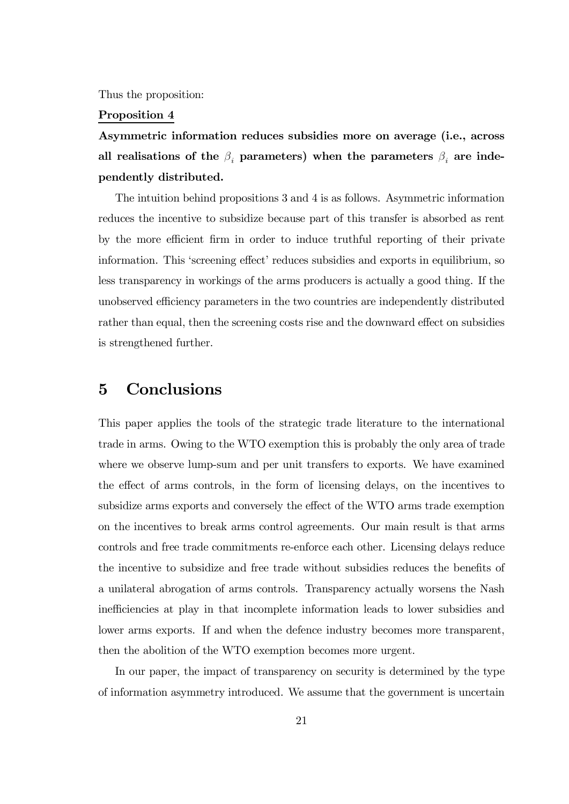Thus the proposition:

#### Proposition 4

Asymmetric information reduces subsidies more on average (i.e., across all realisations of the  $\beta_i$  parameters) when the parameters  $\beta_i$  are independently distributed.

The intuition behind propositions 3 and 4 is as follows. Asymmetric information reduces the incentive to subsidize because part of this transfer is absorbed as rent by the more efficient firm in order to induce truthful reporting of their private information. This 'screening effect' reduces subsidies and exports in equilibrium, so less transparency in workings of the arms producers is actually a good thing. If the unobserved efficiency parameters in the two countries are independently distributed rather than equal, then the screening costs rise and the downward effect on subsidies is strengthened further.

## 5 Conclusions

This paper applies the tools of the strategic trade literature to the international trade in arms. Owing to the WTO exemption this is probably the only area of trade where we observe lump-sum and per unit transfers to exports. We have examined the effect of arms controls, in the form of licensing delays, on the incentives to subsidize arms exports and conversely the effect of the WTO arms trade exemption on the incentives to break arms control agreements. Our main result is that arms controls and free trade commitments re-enforce each other. Licensing delays reduce the incentive to subsidize and free trade without subsidies reduces the benefits of a unilateral abrogation of arms controls. Transparency actually worsens the Nash inefficiencies at play in that incomplete information leads to lower subsidies and lower arms exports. If and when the defence industry becomes more transparent, then the abolition of the WTO exemption becomes more urgent.

In our paper, the impact of transparency on security is determined by the type of information asymmetry introduced. We assume that the government is uncertain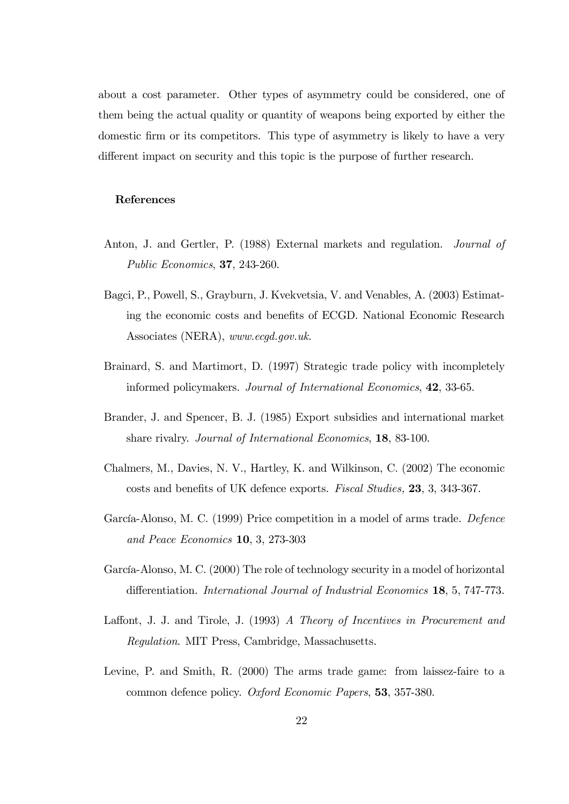about a cost parameter. Other types of asymmetry could be considered, one of them being the actual quality or quantity of weapons being exported by either the domestic firm or its competitors. This type of asymmetry is likely to have a very different impact on security and this topic is the purpose of further research.

#### References

- Anton, J. and Gertler, P. (1988) External markets and regulation. Journal of Public Economics, 37, 243-260.
- Bagci, P., Powell, S., Grayburn, J. Kvekvetsia, V. and Venables, A. (2003) Estimating the economic costs and benefits of ECGD. National Economic Research Associates (NERA), www.ecgd.gov.uk.
- Brainard, S. and Martimort, D. (1997) Strategic trade policy with incompletely informed policymakers. Journal of International Economics, 42, 33-65.
- Brander, J. and Spencer, B. J. (1985) Export subsidies and international market share rivalry. Journal of International Economics, 18, 83-100.
- Chalmers, M., Davies, N. V., Hartley, K. and Wilkinson, C. (2002) The economic costs and benefits of UK defence exports. Fiscal Studies, 23, 3, 343-367.
- García-Alonso, M. C. (1999) Price competition in a model of arms trade. Defence and Peace Economics 10, 3, 273-303
- García-Alonso, M. C. (2000) The role of technology security in a model of horizontal differentiation. *International Journal of Industrial Economics* 18, 5, 747-773.
- Laffont, J. J. and Tirole, J.  $(1993)$  A Theory of Incentives in Procurement and Regulation. MIT Press, Cambridge, Massachusetts.
- Levine, P. and Smith, R. (2000) The arms trade game: from laissez-faire to a common defence policy. Oxford Economic Papers, 53, 357-380.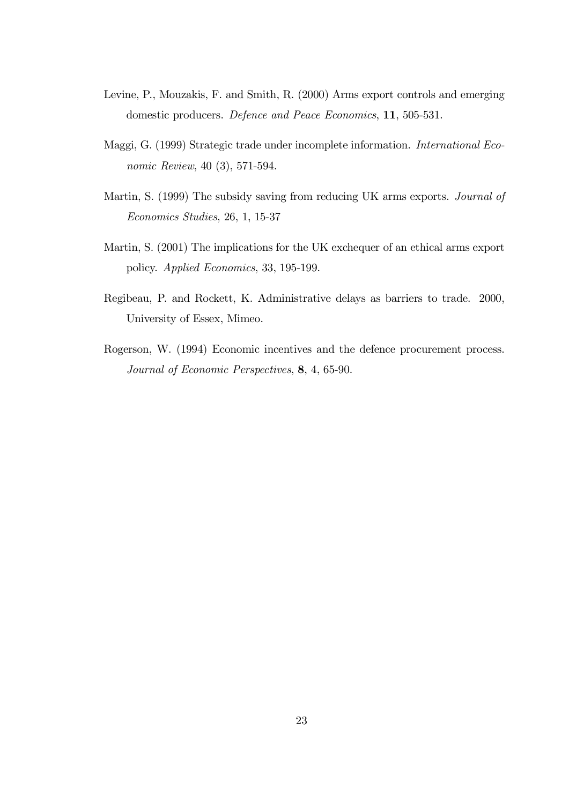- Levine, P., Mouzakis, F. and Smith, R. (2000) Arms export controls and emerging domestic producers. Defence and Peace Economics, 11, 505-531.
- Maggi, G. (1999) Strategic trade under incomplete information. International Economic Review, 40 (3), 571-594.
- Martin, S. (1999) The subsidy saving from reducing UK arms exports. Journal of Economics Studies, 26, 1, 15-37
- Martin, S. (2001) The implications for the UK exchequer of an ethical arms export policy. Applied Economics, 33, 195-199.
- Regibeau, P. and Rockett, K. Administrative delays as barriers to trade. 2000, University of Essex, Mimeo.
- Rogerson, W. (1994) Economic incentives and the defence procurement process. Journal of Economic Perspectives, 8, 4, 65-90.